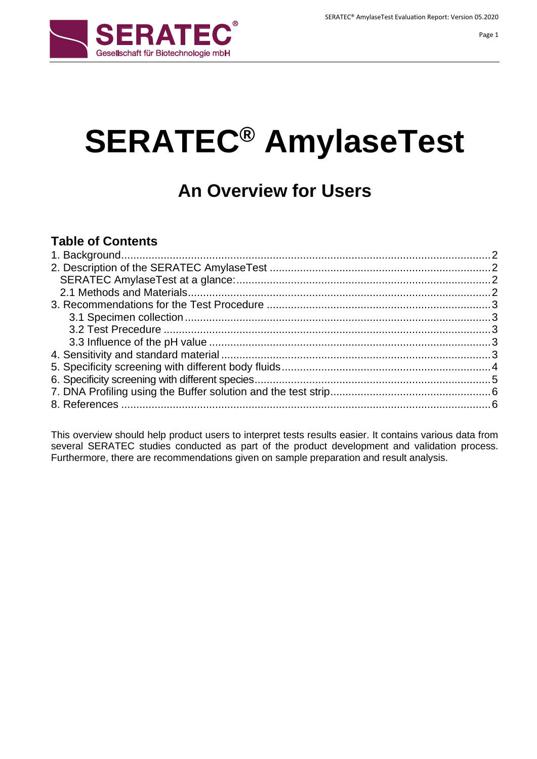

# **SERATEC® AmylaseTest**

## **An Overview for Users**

## **Table of Contents**

This overview should help product users to interpret tests results easier. It contains various data from several SERATEC studies conducted as part of the product development and validation process. Furthermore, there are recommendations given on sample preparation and result analysis.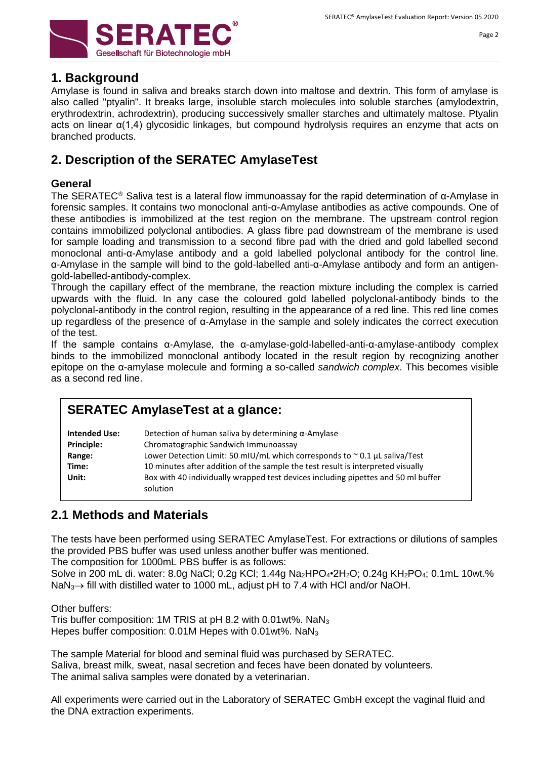

### <span id="page-1-0"></span>**1. Background**

Amylase is found in saliva and breaks [starch](http://en.wikipedia.org/wiki/Starch) down into [maltose](http://en.wikipedia.org/wiki/Maltose) and [dextrin.](http://en.wikipedia.org/wiki/Dextrin) This form of amylase is also called "ptyalin". It breaks large, insoluble starch molecules into soluble starches [\(amylodextrin,](http://en.wikipedia.org/w/index.php?title=Amylodextrin&action=edit&redlink=1) [erythrodextrin,](http://en.wikipedia.org/w/index.php?title=Erythrodextrin&action=edit&redlink=1) [achrodextrin\)](http://en.wikipedia.org/w/index.php?title=Achrodextrin&action=edit&redlink=1), producing successively smaller starches and ultimately [maltose.](http://en.wikipedia.org/wiki/Maltose) Ptyalin acts on linear  $\alpha(1,4)$  [glycosidic linkages,](http://en.wikipedia.org/wiki/Glycosidic_linkage) but compound [hydrolysis](http://en.wikipedia.org/wiki/Hydrolysis) requires an enzyme that acts on branched products.

## <span id="page-1-1"></span>**2. Description of the SERATEC AmylaseTest**

#### **General**

The SERATEC<sup>®</sup> Saliva test is a lateral flow immunoassay for the rapid determination of  $\alpha$ -Amylase in forensic samples. It contains two monoclonal anti-α-Amylase antibodies as active compounds. One of these antibodies is immobilized at the test region on the membrane. The upstream control region contains immobilized polyclonal antibodies. A glass fibre pad downstream of the membrane is used for sample loading and transmission to a second fibre pad with the dried and gold labelled second monoclonal anti-α-Amylase antibody and a gold labelled polyclonal antibody for the control line. α-Amylase in the sample will bind to the gold-labelled anti-α-Amylase antibody and form an antigengold-labelled-antibody-complex.

Through the capillary effect of the membrane, the reaction mixture including the complex is carried upwards with the fluid. In any case the coloured gold labelled polyclonal-antibody binds to the polyclonal-antibody in the control region, resulting in the appearance of a red line. This red line comes up regardless of the presence of α-Amylase in the sample and solely indicates the correct execution of the test.

If the sample contains α-Amylase, the α-amylase-gold-labelled-anti-α-amylase-antibody complex binds to the immobilized monoclonal antibody located in the result region by recognizing another epitope on the α-amylase molecule and forming a so-called *sandwich complex*. This becomes visible as a second red line.

## **SERATEC AmylaseTest at a glance:**

| <b>Intended Use:</b><br><b>Principle:</b> | Detection of human saliva by determining $\alpha$ -Amylase<br>Chromatographic Sandwich Immunoassay |
|-------------------------------------------|----------------------------------------------------------------------------------------------------|
| Range:                                    | Lower Detection Limit: 50 mIU/mL which corresponds to $\sim$ 0.1 µL saliva/Test                    |
| Time:                                     | 10 minutes after addition of the sample the test result is interpreted visually                    |
| Unit:                                     | Box with 40 individually wrapped test devices including pipettes and 50 ml buffer<br>solution      |

## <span id="page-1-2"></span>**2.1 Methods and Materials**

The tests have been performed using SERATEC AmylaseTest. For extractions or dilutions of samples the provided PBS buffer was used unless another buffer was mentioned.

The composition for 1000mL PBS buffer is as follows:

Solve in 200 mL di. water: 8.0g NaCl; 0.2g KCl; 1.44g Na<sub>2</sub>HPO<sub>4</sub>•2H<sub>2</sub>O; 0.24g KH<sub>2</sub>PO<sub>4</sub>; 0.1mL 10wt.% NaN<sub>3</sub> $\rightarrow$  fill with distilled water to 1000 mL, adjust pH to 7.4 with HCl and/or NaOH.

Other buffers:

Tris buffer composition: 1M TRIS at  $pH$  8.2 with 0.01wt%. NaN<sub>3</sub> Hepes buffer composition: 0.01M Hepes with 0.01wt%. NaN<sup>3</sup>

The sample Material for blood and seminal fluid was purchased by SERATEC. Saliva, breast milk, sweat, nasal secretion and feces have been donated by volunteers. The animal saliva samples were donated by a veterinarian.

All experiments were carried out in the Laboratory of SERATEC GmbH except the vaginal fluid and the DNA extraction experiments.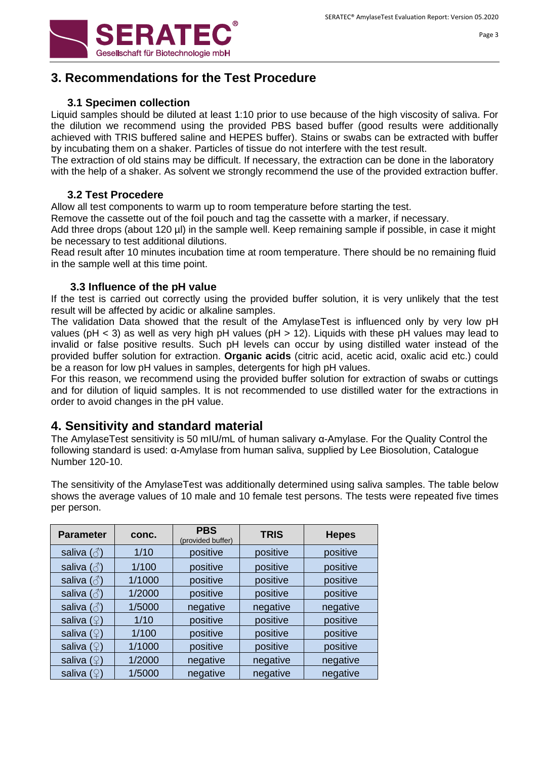

## <span id="page-2-0"></span>**3. Recommendations for the Test Procedure**

#### **3.1 Specimen collection**

<span id="page-2-1"></span>Liquid samples should be diluted at least 1:10 prior to use because of the high viscosity of saliva. For the dilution we recommend using the provided PBS based buffer (good results were additionally achieved with TRIS buffered saline and HEPES buffer). Stains or swabs can be extracted with buffer by incubating them on a shaker. Particles of tissue do not interfere with the test result.

The extraction of old stains may be difficult. If necessary, the extraction can be done in the laboratory with the help of a shaker. As solvent we strongly recommend the use of the provided extraction buffer.

#### **3.2 Test Procedere**

<span id="page-2-2"></span>Allow all test components to warm up to room temperature before starting the test.

Remove the cassette out of the foil pouch and tag the cassette with a marker, if necessary.

Add three drops (about 120 µl) in the sample well. Keep remaining sample if possible, in case it might be necessary to test additional dilutions.

Read result after 10 minutes incubation time at room temperature. There should be no remaining fluid in the sample well at this time point.

#### **3.3 Influence of the pH value**

<span id="page-2-3"></span>If the test is carried out correctly using the provided buffer solution, it is very unlikely that the test result will be affected by acidic or alkaline samples.

The validation Data showed that the result of the AmylaseTest is influenced only by very low pH values (pH  $<$  3) as well as very high pH values (pH  $>$  12). Liquids with these pH values may lead to invalid or false positive results. Such pH levels can occur by using distilled water instead of the provided buffer solution for extraction. **Organic acids** (citric acid, acetic acid, oxalic acid etc.) could be a reason for low pH values in samples, detergents for high pH values.

For this reason, we recommend using the provided buffer solution for extraction of swabs or cuttings and for dilution of liquid samples. It is not recommended to use distilled water for the extractions in order to avoid changes in the pH value.

#### <span id="page-2-4"></span>**4. Sensitivity and standard material**

The AmylaseTest sensitivity is 50 mIU/mL of human salivary α-Amylase. For the Quality Control the following standard is used: α-Amylase from human saliva, supplied by Lee Biosolution, Catalogue Number 120-10.

The sensitivity of the AmylaseTest was additionally determined using saliva samples. The table below shows the average values of 10 male and 10 female test persons. The tests were repeated five times per person.

| <b>Parameter</b>                                                  | conc.  | <b>PBS</b><br><b>TRIS</b><br>(provided buffer) |          | <b>Hepes</b> |
|-------------------------------------------------------------------|--------|------------------------------------------------|----------|--------------|
| saliva $(\text{A})$                                               | 1/10   | positive                                       | positive | positive     |
| saliva $(\text{A})$                                               | 1/100  | positive                                       | positive | positive     |
| saliva $(\textcolor{blue}{\stackrel{\wedge}{\scriptstyle\odot}})$ | 1/1000 | positive                                       | positive | positive     |
| saliva $(\text{A})$                                               | 1/2000 | positive                                       | positive | positive     |
| saliva $(\textcolor{blue}{\vec{\circ}})$                          | 1/5000 | negative                                       | negative | negative     |
| saliva $(2)$                                                      | 1/10   | positive                                       | positive | positive     |
| saliva $(\mathcal{Q})$                                            | 1/100  | positive                                       | positive | positive     |
| saliva $(\mathcal{Q})$                                            | 1/1000 | positive                                       | positive | positive     |
| saliva $(2)$                                                      | 1/2000 | negative                                       | negative | negative     |
| saliva $(\mathcal{Q})$                                            | 1/5000 | negative                                       | negative | negative     |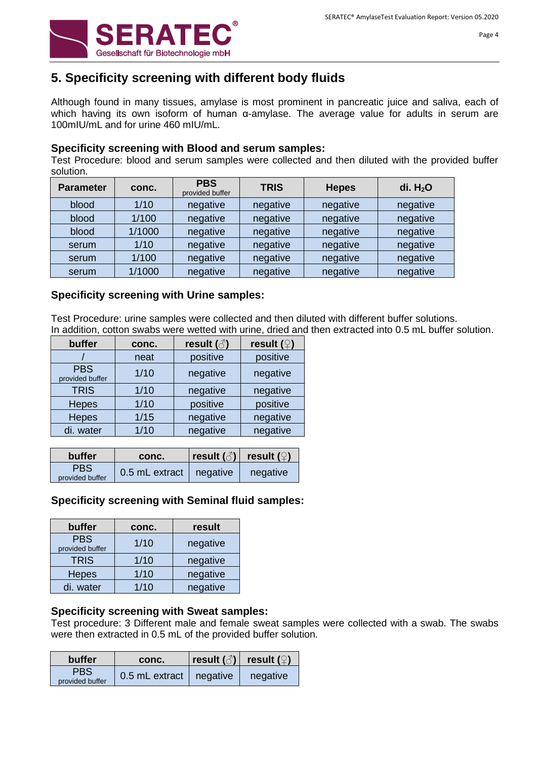

## <span id="page-3-0"></span>**5. Specificity screening with different body fluids**

Although found in many tissues, amylase is most prominent in [pancreatic juice](http://en.wikipedia.org/wiki/Pancreas) and [saliva,](http://en.wikipedia.org/wiki/Saliva) each of which having its own [isoform](http://en.wikipedia.org/wiki/Isoform) of human α-amylase. The average value for adults in serum are 100mIU/mL and for urine 460 mIU/mL.

#### **Specificity screening with Blood and serum samples:**

Test Procedure: blood and serum samples were collected and then diluted with the provided buffer solution.

| <b>Parameter</b> | conc.  | <b>PBS</b><br>provided buffer | <b>TRIS</b> | <b>Hepes</b> | di. $H2O$ |
|------------------|--------|-------------------------------|-------------|--------------|-----------|
| blood            | 1/10   | negative                      | negative    | negative     | negative  |
| blood            | 1/100  | negative                      | negative    | negative     | negative  |
| blood            | 1/1000 | negative                      | negative    | negative     | negative  |
| serum            | 1/10   | negative                      | negative    | negative     | negative  |
| serum            | 1/100  | negative                      | negative    | negative     | negative  |
| serum            | 1/1000 | negative                      | negative    | negative     | negative  |

#### **Specificity screening with Urine samples:**

Test Procedure: urine samples were collected and then diluted with different buffer solutions. In addition, cotton swabs were wetted with urine, dried and then extracted into 0.5 mL buffer solution.

| buffer                        | conc.  | result $(\text{A})$ | result $($ <sup>2</sup> ) |
|-------------------------------|--------|---------------------|---------------------------|
|                               | neat   | positive            | positive                  |
| <b>PBS</b><br>provided buffer | 1/10   | negative            | negative                  |
| <b>TRIS</b>                   | 1/10   | negative            | negative                  |
| <b>Hepes</b>                  | $1/10$ | positive            | positive                  |
| <b>Hepes</b>                  | $1/15$ | negative            | negative                  |
| di. water                     | 1/10   | negative            | negative                  |

| buffer                        | conc.                     | $ \text{result}(\textcolor{blue}{\beta}) $ | result ( $\mathcal{Q}$ ) |
|-------------------------------|---------------------------|--------------------------------------------|--------------------------|
| <b>PBS</b><br>provided buffer | 0.5 mL extract   negative |                                            | negative                 |

#### **Specificity screening with Seminal fluid samples:**

| buffer                        | conc. | result   |
|-------------------------------|-------|----------|
| <b>PBS</b><br>provided buffer | 1/10  | negative |
| <b>TRIS</b>                   | 1/10  | negative |
| <b>Hepes</b>                  | 1/10  | negative |
| di. water                     | 1/10  | negative |

#### **Specificity screening with Sweat samples:**

Test procedure: 3 Different male and female sweat samples were collected with a swab. The swabs were then extracted in 0.5 mL of the provided buffer solution.

| <b>buffer</b>                 | conc.                     | result $(\textcolor{green}{\wedge})$ | result $($ <sup>2</sup> ) |
|-------------------------------|---------------------------|--------------------------------------|---------------------------|
| <b>PBS</b><br>provided buffer | 0.5 mL extract   negative |                                      | negative                  |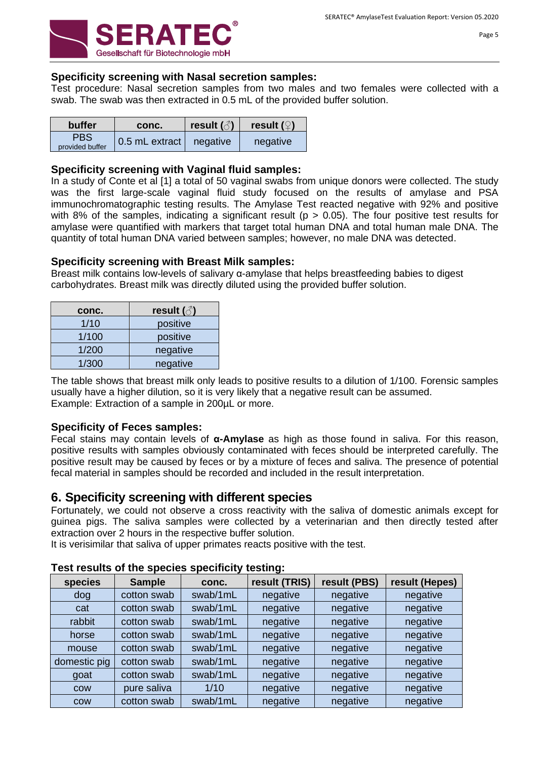

#### **Specificity screening with Nasal secretion samples:**

Test procedure: Nasal secretion samples from two males and two females were collected with a swab. The swab was then extracted in 0.5 mL of the provided buffer solution.

| <b>buffer</b>   | conc.          | result $(\textcolor{green}{\vec{\circ}})$ | result $(\mathcal{Q})$ |
|-----------------|----------------|-------------------------------------------|------------------------|
| <b>PBS</b>      | 0.5 mL extract | negative                                  | negative               |
| provided buffer |                |                                           |                        |

#### **Specificity screening with Vaginal fluid samples:**

In a study of Conte et al [1] a total of 50 vaginal swabs from unique donors were collected. The study was the first large-scale vaginal fluid study focused on the results of amylase and PSA immunochromatographic testing results. The Amylase Test reacted negative with 92% and positive with 8% of the samples, indicating a significant result ( $p > 0.05$ ). The four positive test results for amylase were quantified with markers that target total human DNA and total human male DNA. The quantity of total human DNA varied between samples; however, no male DNA was detected.

#### **Specificity screening with Breast Milk samples:**

Breast milk contains low-levels of salivary α-amylase that helps breastfeeding babies to digest carbohydrates. Breast milk was directly diluted using the provided buffer solution.

| conc. | result $(\text{A})$ |
|-------|---------------------|
| 1/10  | positive            |
| 1/100 | positive            |
| 1/200 | negative            |
| 1/300 | negative            |

The table shows that breast milk only leads to positive results to a dilution of 1/100. Forensic samples usually have a higher dilution, so it is very likely that a negative result can be assumed. Example: Extraction of a sample in 200µL or more.

#### **Specificity of Feces samples:**

Fecal stains may contain levels of **α-Amylase** as high as those found in saliva. For this reason, positive results with samples obviously contaminated with feces should be interpreted carefully. The positive result may be caused by feces or by a mixture of feces and saliva. The presence of potential fecal material in samples should be recorded and included in the result interpretation.

#### <span id="page-4-0"></span>**6. Specificity screening with different species**

Fortunately, we could not observe a cross reactivity with the saliva of domestic animals except for guinea pigs. The saliva samples were collected by a veterinarian and then directly tested after extraction over 2 hours in the respective buffer solution.

It is verisimilar that saliva of upper primates reacts positive with the test.

| species      | <b>Sample</b> | conc.    | result (TRIS) | result (PBS) | result (Hepes) |
|--------------|---------------|----------|---------------|--------------|----------------|
| dog          | cotton swab   | swab/1mL | negative      | negative     | negative       |
| cat          | cotton swab   | swab/1mL | negative      | negative     | negative       |
| rabbit       | cotton swab   | swab/1mL | negative      | negative     | negative       |
| horse        | cotton swab   | swab/1mL | negative      | negative     | negative       |
| mouse        | cotton swab   | swab/1mL | negative      | negative     | negative       |
| domestic pig | cotton swab   | swab/1mL | negative      | negative     | negative       |
| goat         | cotton swab   | swab/1mL | negative      | negative     | negative       |
| COW          | pure saliva   | 1/10     | negative      | negative     | negative       |
| <b>COW</b>   | cotton swab   | swab/1mL | negative      | negative     | negative       |

#### **Test results of the species specificity testing:**